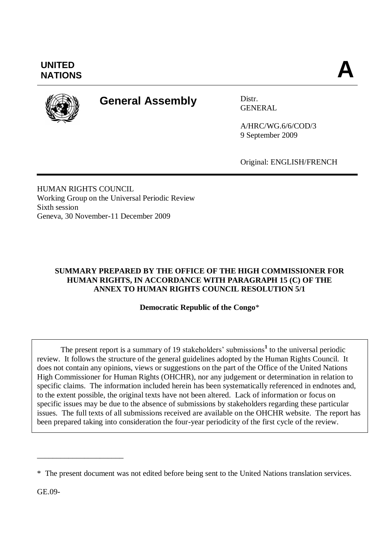

# **General Assembly** Distr.

**GENERAL** 

A/HRC/WG.6/6/COD/3 9 September 2009

Original: ENGLISH/FRENCH

HUMAN RIGHTS COUNCIL Working Group on the Universal Periodic Review Sixth session Geneva, 30 November-11 December 2009

# **SUMMARY PREPARED BY THE OFFICE OF THE HIGH COMMISSIONER FOR HUMAN RIGHTS, IN ACCORDANCE WITH PARAGRAPH 15 (C) OF THE ANNEX TO HUMAN RIGHTS COUNCIL RESOLUTION 5/1**

**Democratic Republic of the Congo**\*

The present report is a summary of 19 stakeholders' submissions<sup>1</sup> to the universal periodic review. It follows the structure of the general guidelines adopted by the Human Rights Council. It does not contain any opinions, views or suggestions on the part of the Office of the United Nations High Commissioner for Human Rights (OHCHR), nor any judgement or determination in relation to specific claims. The information included herein has been systematically referenced in endnotes and, to the extent possible, the original texts have not been altered. Lack of information or focus on specific issues may be due to the absence of submissions by stakeholders regarding these particular issues. The full texts of all submissions received are available on the OHCHR website. The report has been prepared taking into consideration the four-year periodicity of the first cycle of the review.

GE.09-

\_\_\_\_\_\_\_\_\_\_\_\_\_\_\_\_\_\_\_\_\_\_

<sup>\*</sup> The present document was not edited before being sent to the United Nations translation services.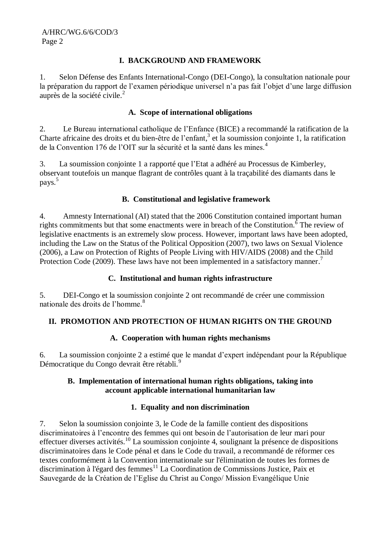#### **I. BACKGROUND AND FRAMEWORK**

1. Selon Défense des Enfants International-Congo (DEI-Congo), la consultation nationale pour la préparation du rapport de l'examen périodique universel n'a pas fait l'objet d'une large diffusion auprès de la société civile. 2

### **A. Scope of international obligations**

2. Le Bureau international catholique de l'Enfance (BICE) a recommandé la ratification de la Charte africaine des droits et du bien-être de l'enfant, 3 et la soumission conjointe 1, la ratification de la Convention 176 de l'OIT sur la sécurité et la santé dans les mines.<sup>4</sup>

3. La soumission conjointe 1 a rapporté que l'Etat a adhéré au Processus de Kimberley, observant toutefois un manque flagrant de contrôles quant à la traçabilité des diamants dans le pays.<sup>5</sup>

#### **B. Constitutional and legislative framework**

4. Amnesty International (AI) stated that the 2006 Constitution contained important human rights commitments but that some enactments were in breach of the Constitution.<sup>6</sup> The review of legislative enactments is an extremely slow process. However, important laws have been adopted, including the Law on the Status of the Political Opposition (2007), two laws on Sexual Violence (2006), a Law on Protection of Rights of People Living with HIV/AIDS (2008) and the Child Protection Code (2009). These laws have not been implemented in a satisfactory manner.<sup>7</sup>

### **C. Institutional and human rights infrastructure**

5. DEI-Congo et la soumission conjointe 2 ont recommandé de créer une commission nationale des droits de l'homme. 8

# **II. PROMOTION AND PROTECTION OF HUMAN RIGHTS ON THE GROUND**

#### **A. Cooperation with human rights mechanisms**

6. La soumission conjointe 2 a estimé que le mandat d'expert indépendant pour la République Démocratique du Congo devrait être rétabli.<sup>9</sup>

#### **B. Implementation of international human rights obligations, taking into account applicable international humanitarian law**

# **1. Equality and non discrimination**

7. Selon la soumission conjointe 3, le Code de la famille contient des dispositions discriminatoires à l'encontre des femmes qui ont besoin de l'autorisation de leur mari pour effectuer diverses activités.<sup>10</sup> La soumission conjointe 4, soulignant la présence de dispositions discriminatoires dans le Code pénal et dans le Code du travail, a recommandé de réformer ces textes conformément à la Convention internationale sur l'élimination de toutes les formes de discrimination à l'égard des femmes <sup>11</sup> La Coordination de Commissions Justice, Paix et Sauvegarde de la Création de l'Eglise du Christ au Congo/ Mission Evangélique Unie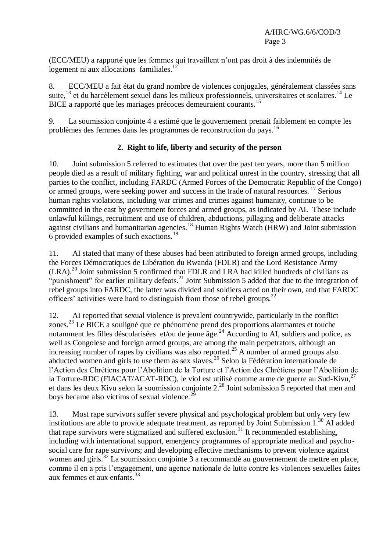(ECC/MEU) a rapporté que les femmes qui travaillent n'ont pas droit à des indemnités de logement ni aux allocations familiales.<sup>12</sup>

8. ECC/MEU a fait état du grand nombre de violences conjugales, généralement classées sans suite,<sup>13</sup> et du harcèlement sexuel dans les milieux professionnels, universitaires et scolaires.<sup>14</sup> Le BICE a rapporté que les mariages précoces demeuraient courants. 15

9. La soumission conjointe 4 a estimé que le gouvernement prenait faiblement en compte les problèmes des femmes dans les programmes de reconstruction du pays. 16

# **2. Right to life, liberty and security of the person**

10. Joint submission 5 referred to estimates that over the past ten years, more than 5 million people died as a result of military fighting, war and political unrest in the country, stressing that all parties to the conflict, including FARDC (Armed Forces of the Democratic Republic of the Congo) or armed groups, were seeking power and success in the trade of natural resources.<sup>17</sup> Serious human rights violations, including war crimes and crimes against humanity, continue to be committed in the east by government forces and armed groups, as indicated by AI. These include unlawful killings, recruitment and use of children, abductions, pillaging and deliberate attacks against civilians and humanitarian agencies.<sup>18</sup> Human Rights Watch (HRW) and Joint submission 6 provided examples of such exactions.<sup>19</sup>

11. AI stated that many of these abuses had been attributed to foreign armed groups, including the Forces Démocratiques de Libération du Rwanda (FDLR) and the Lord Resistance Army  $(LRA).<sup>20</sup>$  Joint submission 5 confirmed that FDLR and LRA had killed hundreds of civilians as "punishment" for earlier military defeats.<sup>21</sup> Joint Submission 5 added that due to the integration of rebel groups into FARDC, the latter was divided and soldiers acted on their own, and that FARDC officers' activities were hard to distinguish from those of rebel groups.<sup>22</sup>

12. AI reported that sexual violence is prevalent countrywide, particularly in the conflict zones. <sup>23</sup> Le BICE a souligné que ce phénomène prend des proportions alarmantes et touche notamment les filles déscolarisées et/ou de jeune âge.<sup>24</sup> According to AI, soldiers and police, as well as Congolese and foreign armed groups, are among the main perpetrators, although an increasing number of rapes by civilians was also reported.<sup>25</sup> A number of armed groups also abducted women and girls to use them as sex slaves.<sup>26</sup> Selon la Fédération internationale de l'Action des Chrétiens pour l'Abolition de la Torture et l'Action des Chrétiens pour l'Abolition de la Torture-RDC (FIACAT/ACAT-RDC), le viol est utilisé comme arme de guerre au Sud-Kivu, $^{27}$ et dans les deux Kivu selon la soumission conjointe 2.<sup>28</sup> Joint submission 5 reported that men and boys became also victims of sexual violence.<sup>29</sup>

13. Most rape survivors suffer severe physical and psychological problem but only very few institutions are able to provide adequate treatment, as reported by Joint Submission  $1.^{30}$  AI added that rape survivors were stigmatized and suffered exclusion. <sup>31</sup> It recommended establishing, including with international support, emergency programmes of appropriate medical and psychosocial care for rape survivors; and developing effective mechanisms to prevent violence against women and girls.<sup>32</sup> La soumission conjointe 3 a recommandé au gouvernement de mettre en place, comme il en a pris l'engagement, une agence nationale de lutte contre les violences sexuelles faites aux femmes et aux enfants.<sup>33</sup>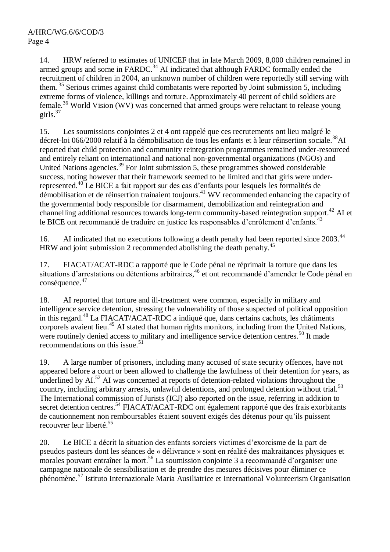14. HRW referred to estimates of UNICEF that in late March 2009, 8,000 children remained in armed groups and some in  $FARDC$ <sup>34</sup> AI indicated that although  $FARDC$  formally ended the recruitment of children in 2004, an unknown number of children were reportedly still serving with them. <sup>35</sup> Serious crimes against child combatants were reported by Joint submission 5, including extreme forms of violence, killings and torture. Approximately 40 percent of child soldiers are female.<sup>36</sup> World Vision (WV) was concerned that armed groups were reluctant to release young girls. $37$ 

15. Les soumissions conjointes 2 et 4 ont rappelé que ces recrutements ont lieu malgré le décret-loi 066/2000 relatif à la démobilisation de tous les enfants et à leur réinsertion sociale.<sup>38</sup>AI reported that child protection and community reintegration programmes remained under-resourced and entirely reliant on international and national non-governmental organizations (NGOs) and United Nations agencies.<sup>39</sup> For Joint submission 5, these programmes showed considerable success, noting however that their framework seemed to be limited and that girls were underrepresented.<sup>40</sup> Le BICE a fait rapport sur des cas d'enfants pour lesquels les formalités de démobilisation et de réinsertion trainaient toujours. <sup>41</sup> WV recommended enhancing the capacity of the governmental body responsible for disarmament, demobilization and reintegration and channelling additional resources towards long-term community-based reintegration support.<sup>42</sup> AI et le BICE ont recommandé de traduire en justice les responsables d'enrôlement d'enfants.<sup>43</sup>

16. AI indicated that no executions following a death penalty had been reported since 2003.<sup>44</sup> HRW and joint submission 2 recommended abolishing the death penalty.<sup>45</sup>

17. FIACAT/ACAT-RDC a rapporté que le Code pénal ne réprimait la torture que dans les situations d'arrestations ou détentions arbitraires,<sup>46</sup> et ont recommandé d'amender le Code pénal en conséquence. 47

18. AI reported that torture and ill-treatment were common, especially in military and intelligence service detention, stressing the vulnerability of those suspected of political opposition in this regard. <sup>48</sup> La FIACAT/ACAT-RDC a indiqué que, dans certains cachots, les châtiments corporels avaient lieu.<sup>49</sup> AI stated that human rights monitors, including from the United Nations, were routinely denied access to military and intelligence service detention centres.<sup>50</sup> It made recommendations on this issue. 51

19. A large number of prisoners, including many accused of state security offences, have not appeared before a court or been allowed to challenge the lawfulness of their detention for years, as underlined by  $AI$ <sup>52</sup> AI was concerned at reports of detention-related violations throughout the country, including arbitrary arrests, unlawful detentions, and prolonged detention without trial.<sup>53</sup> The International commission of Jurists (ICJ) also reported on the issue, referring in addition to secret detention centres.<sup>54</sup> FIACAT/ACAT-RDC ont également rapporté que des frais exorbitants de cautionnement non remboursables étaient souvent exigés des détenus pour qu'ils puissent recouvrer leur liberté. 55

20. Le BICE a décrit la situation des enfants sorciers victimes d'exorcisme de la part de pseudos pasteurs dont les séances de « délivrance » sont en réalité des maltraitances physiques et morales pouvant entraîner la mort.<sup>56</sup> La soumission conjointe 3 a recommandé d'organiser une campagne nationale de sensibilisation et de prendre des mesures décisives pour éliminer ce phénomène. <sup>57</sup> Istituto Internazionale Maria Ausiliatrice et International Volunteerism Organisation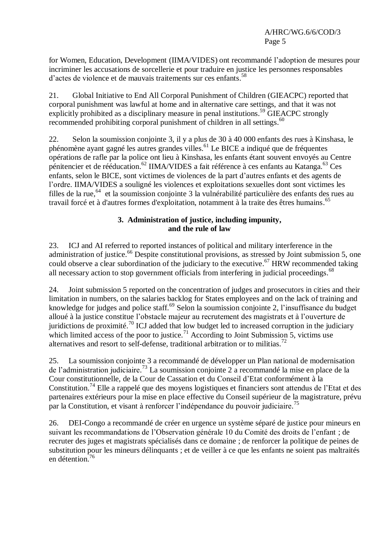for Women, Education, Development (IIMA/VIDES) ont recommandé l'adoption de mesures pour incriminer les accusations de sorcellerie et pour traduire en justice les personnes responsables d'actes de violence et de mauvais traitements sur ces enfants. 58

21. Global Initiative to End All Corporal Punishment of Children (GIEACPC) reported that corporal punishment was lawful at home and in alternative care settings, and that it was not explicitly prohibited as a disciplinary measure in penal institutions.<sup>59</sup> GIEACPC strongly recommended prohibiting corporal punishment of children in all settings.<sup>60</sup>

22. Selon la soumission conjointe 3, il y a plus de 30 à 40 000 enfants des rues à Kinshasa, le phénomène ayant gagné les autres grandes villes. <sup>61</sup> Le BICE a indiqué que de fréquentes opérations de rafle par la police ont lieu à Kinshasa, les enfants étant souvent envoyés au Centre pénitencier et de rééducation.<sup>62</sup> IIMA/VIDES a fait référence à ces enfants au Katanga.<sup>63</sup> Ces enfants, selon le BICE, sont victimes de violences de la part d'autres enfants et des agents de l'ordre. IIMA/VIDES a souligné les violences et exploitations sexuelles dont sont victimes les filles de la rue, <sup>64</sup> et la soumission conjointe 3 la vulnérabilité particulière des enfants des rues au travail forcé et à d'autres formes d'exploitation, notamment à la traite des êtres humains. 65

### **3. Administration of justice, including impunity, and the rule of law**

23. ICJ and AI referred to reported instances of political and military interference in the administration of justice.<sup>66</sup> Despite constitutional provisions, as stressed by Joint submission 5, one could observe a clear subordination of the judiciary to the executive.<sup>67</sup> HRW recommended taking all necessary action to stop government officials from interfering in judicial proceedings.<sup>68</sup>

24. Joint submission 5 reported on the concentration of judges and prosecutors in cities and their limitation in numbers, on the salaries backlog for States employees and on the lack of training and knowledge for judges and police staff.<sup>69</sup> Selon la soumission conjointe 2, l'insuffisance du budget alloué à la justice constitue l'obstacle majeur au recrutement des magistrats et à l'ouverture de juridictions de proximité.<sup>70</sup> ICJ added that low budget led to increased corruption in the judiciary which limited access of the poor to justice.<sup>71</sup> According to Joint Submission 5, victims use alternatives and resort to self-defense, traditional arbitration or to militias.<sup>72</sup>

25. La soumission conjointe 3 a recommandé de développer un Plan national de modernisation de l'administration judiciaire. <sup>73</sup> La soumission conjointe 2 a recommandé la mise en place de la Cour constitutionnelle, de la Cour de Cassation et du Conseil d'Etat conformément à la Constitution.<sup>74</sup> Elle a rappelé que des moyens logistiques et financiers sont attendus de l'Etat et des partenaires extérieurs pour la mise en place effective du Conseil supérieur de la magistrature, prévu par la Constitution, et visant à renforcer l'indépendance du pouvoir judiciaire.<sup>75</sup>

26. DEI-Congo a recommandé de créer en urgence un système séparé de justice pour mineurs en suivant les recommandations de l'Observation générale 10 du Comité des droits de l'enfant ; de recruter des juges et magistrats spécialisés dans ce domaine ; de renforcer la politique de peines de substitution pour les mineurs délinquants ; et de veiller à ce que les enfants ne soient pas maltraités en détention. 76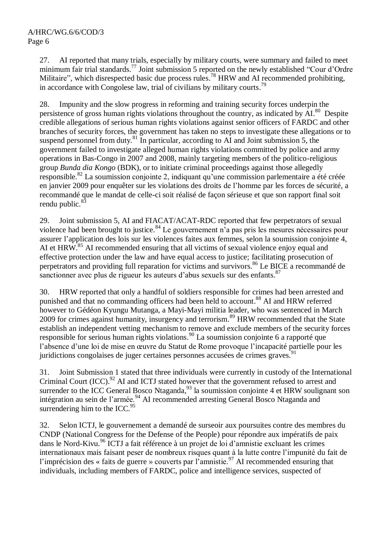27. AI reported that many trials, especially by military courts, were summary and failed to meet minimum fair trial standards.<sup>77</sup> Joint submission 5 reported on the newly established "Cour d'Ordre" Militaire", which disrespected basic due process rules.<sup>78</sup> HRW and AI recommended prohibiting, in accordance with Congolese law, trial of civilians by military courts.<sup>79</sup>

28. Impunity and the slow progress in reforming and training security forces underpin the persistence of gross human rights violations throughout the country, as indicated by AI.<sup>80</sup> Despite credible allegations of serious human rights violations against senior officers of FARDC and other branches of security forces, the government has taken no steps to investigate these allegations or to suspend personnel from duty.<sup>81</sup> In particular, according to AI and Joint submission 5, the government failed to investigate alleged human rights violations committed by police and army operations in Bas-Congo in 2007 and 2008, mainly targeting members of the politico-religious group *Bunda dia Kongo* (BDK), or to initiate criminal proceedings against those allegedly responsible.<sup>82</sup> La soumission conjointe 2, indiquant qu'une commission parlementaire a été créée en janvier 2009 pour enquêter sur les violations des droits de l'homme par les forces de sécurité, a recommandé que le mandat de celle-ci soit réalisé de façon sérieuse et que son rapport final soit rendu public.<sup>83</sup>

29. Joint submission 5, AI and FIACAT/ACAT-RDC reported that few perpetrators of sexual violence had been brought to justice.<sup>84</sup> Le gouvernement n'a pas pris les mesures nécessaires pour assurer l'application des lois sur les violences faites aux femmes, selon la soumission conjointe 4, AI et  $HRW$ <sup>85</sup> AI recommended ensuring that all victims of sexual violence enjoy equal and effective protection under the law and have equal access to justice; facilitating prosecution of perpetrators and providing full reparation for victims and survivors.<sup>86</sup> Le BICE a recommandé de sanctionner avec plus de rigueur les auteurs d'abus sexuels sur des enfants.<sup>87</sup>

30. HRW reported that only a handful of soldiers responsible for crimes had been arrested and punished and that no commanding officers had been held to account. <sup>88</sup> AI and HRW referred however to Gédéon Kyungu Mutanga, a Mayi-Mayi militia leader, who was sentenced in March 2009 for crimes against humanity, insurgency and terrorism. <sup>89</sup> HRW recommended that the State establish an independent vetting mechanism to remove and exclude members of the security forces responsible for serious human rights violations. <sup>90</sup> La soumission conjointe 6 a rapporté que l'absence d'une loi de mise en œuvre du Statut de Rome provoque l'incapacité partielle pour les juridictions congolaises de juger certaines personnes accusées de crimes graves.<sup>91</sup>

31. Joint Submission 1 stated that three individuals were currently in custody of the International Criminal Court (ICC).<sup>92</sup> AI and ICTJ stated however that the government refused to arrest and surrender to the ICC General Bosco Ntaganda,<sup>93</sup> la soumission conjointe 4 et HRW soulignant son intégration au sein de l'armée.<sup>94</sup> AI recommended arresting General Bosco Ntaganda and surrendering him to the ICC.<sup>95</sup>

32. Selon ICTJ, le gouvernement a demandé de surseoir aux poursuites contre des membres du CNDP (National Congress for the Defense of the People) pour répondre aux impératifs de paix dans le Nord-Kivu. <sup>96</sup> ICTJ a fait référence à un projet de loi d'amnistie excluant les crimes internationaux mais faisant peser de nombreux risques quant à la lutte contre l'impunité du fait de l'imprécision des « faits de guerre » couverts par l'amnistie.<sup>97</sup> AI recommended ensuring that individuals, including members of FARDC, police and intelligence services, suspected of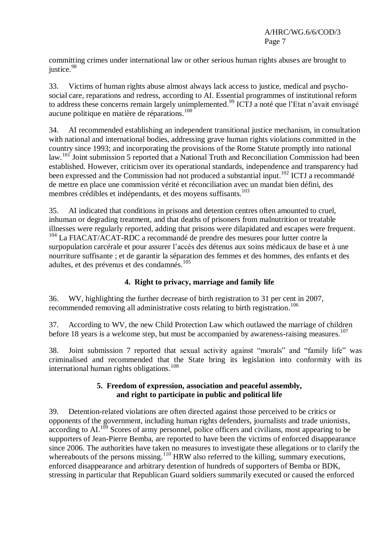committing crimes under international law or other serious human rights abuses are brought to justice.<sup>98</sup>

33. Victims of human rights abuse almost always lack access to justice, medical and psychosocial care, reparations and redress, according to AI. Essential programmes of institutional reform to address these concerns remain largely unimplemented.<sup>99</sup> ICTJ a noté que l'Etat n'avait envisagé aucune politique en matière de réparations. 100

34. AI recommended establishing an independent transitional justice mechanism, in consultation with national and international bodies, addressing grave human rights violations committed in the country since 1993; and incorporating the provisions of the Rome Statute promptly into national law.<sup>101</sup> Joint submission 5 reported that a National Truth and Reconciliation Commission had been established. However, criticism over its operational standards, independence and transparency had been expressed and the Commission had not produced a substantial input.<sup>102</sup> ICTJ a recommandé de mettre en place une commission vérité et réconciliation avec un mandat bien défini, des membres crédibles et indépendants, et des moyens suffisants. 103

35. AI indicated that conditions in prisons and detention centres often amounted to cruel, inhuman or degrading treatment, and that deaths of prisoners from malnutrition or treatable illnesses were regularly reported, adding that prisons were dilapidated and escapes were frequent. <sup>104</sup> La FIACAT/ACAT-RDC a recommandé de prendre des mesures pour lutter contre la surpopulation carcérale et pour assurer l'accès des détenus aux soins médicaux de base et à une nourriture suffisante ; et de garantir la séparation des femmes et des hommes, des enfants et des adultes, et des prévenus et des condamnés.<sup>105</sup>

# **4. Right to privacy, marriage and family life**

36. WV, highlighting the further decrease of birth registration to 31 per cent in 2007, recommended removing all administrative costs relating to birth registration.<sup>106</sup>

37. According to WV, the new Child Protection Law which outlawed the marriage of children before 18 years is a welcome step, but must be accompanied by awareness-raising measures.<sup>107</sup>

38. Joint submission 7 reported that sexual activity against "morals" and "family life" was criminalised and recommended that the State bring its legislation into conformity with its international human rights obligations. 108

#### **5. Freedom of expression, association and peaceful assembly, and right to participate in public and political life**

39. Detention-related violations are often directed against those perceived to be critics or opponents of the government, including human rights defenders, journalists and trade unionists,  $\arccos$  according to AI.<sup>109</sup> Scores of army personnel, police officers and civilians, most appearing to be supporters of Jean-Pierre Bemba, are reported to have been the victims of enforced disappearance since 2006. The authorities have taken no measures to investigate these allegations or to clarify the whereabouts of the persons missing.<sup>110</sup> HRW also referred to the killing, summary executions, enforced disappearance and arbitrary detention of hundreds of supporters of Bemba or BDK, stressing in particular that Republican Guard soldiers summarily executed or caused the enforced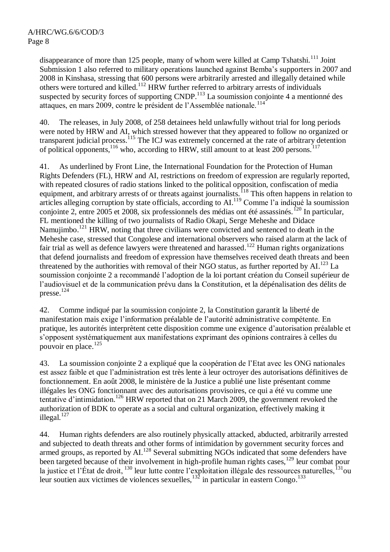disappearance of more than 125 people, many of whom were killed at Camp Tshatshi.<sup>111</sup> Joint Submission 1 also referred to military operations launched against Bemba's supporters in 2007 and 2008 in Kinshasa, stressing that 600 persons were arbitrarily arrested and illegally detained while others were tortured and killed.<sup>112</sup> HRW further referred to arbitrary arrests of individuals suspected by security forces of supporting CNDP.<sup>113</sup> La soumission conjointe 4 a mentionné des attaques, en mars 2009, contre le président de l'Assemblée nationale.<sup>114</sup>

40. The releases, in July 2008, of 258 detainees held unlawfully without trial for long periods were noted by HRW and AI, which stressed however that they appeared to follow no organized or transparent judicial process.<sup>115</sup> The ICJ was extremely concerned at the rate of arbitrary detention of political opponents,<sup>116</sup> who, according to HRW, still amount to at least 200 persons.<sup>117</sup>

41. As underlined by Front Line, the International Foundation for the Protection of Human Rights Defenders (FL), HRW and AI, restrictions on freedom of expression are regularly reported, with repeated closures of radio stations linked to the political opposition, confiscation of media equipment, and arbitrary arrests of or threats against journalists.<sup>118</sup> This often happens in relation to articles alleging corruption by state officials, according to AI.<sup>119</sup> Comme l'a indiqué la soumission conjointe 2, entre 2005 et 2008, six professionnels des médias ont été assassinés.<sup>120</sup> In particular, FL mentioned the killing of two journalists of Radio Okapi, Serge Meheshe and Didace Namujimbo.<sup>121</sup> HRW, noting that three civilians were convicted and sentenced to death in the Meheshe case, stressed that Congolese and international observers who raised alarm at the lack of fair trial as well as defence lawyers were threatened and harassed.<sup>122</sup> Human rights organizations that defend journalists and freedom of expression have themselves received death threats and been threatened by the authorities with removal of their NGO status, as further reported by AI.<sup>123</sup> La soumission conjointe 2 a recommandé l'adoption de la loi portant création du Conseil supérieur de l'audiovisuel et de la communication prévu dans la Constitution, et la dépénalisation des délits de presse. 124

42. Comme indiqué par la soumission conjointe 2, la Constitution garantit la liberté de manifestation mais exige l'information préalable de l'autorité administrative compétente. En pratique, les autorités interprètent cette disposition comme une exigence d'autorisation préalable et s'opposent systématiquement aux manifestations exprimant des opinions contraires à celles du pouvoir en place. 125

43. La soumission conjointe 2 a expliqué que la coopération de l'Etat avec les ONG nationales est assez faible et que l'administration est très lente à leur octroyer des autorisations définitives de fonctionnement. En août 2008, le ministère de la Justice a publié une liste présentant comme illégales les ONG fonctionnant avec des autorisations provisoires, ce qui a été vu comme une tentative d'intimidation. <sup>126</sup> HRW reported that on 21 March 2009, the government revoked the authorization of BDK to operate as a social and cultural organization, effectively making it illegal.<sup>127</sup>

44. Human rights defenders are also routinely physically attacked, abducted, arbitrarily arrested and subjected to death threats and other forms of intimidation by government security forces and armed groups, as reported by AI.<sup>128</sup> Several submitting NGOs indicated that some defenders have been targeted because of their involvement in high-profile human rights cases,  $^{129}$  leur combat pour la justice et l'État de droit,  $^{130}$  leur lutte contre l'exploitation illégale des ressources naturelles,  $^{131}$ ou leur soutien aux victimes de violences sexuelles,  $^{132}$  in particular in eastern Congo.<sup>133</sup>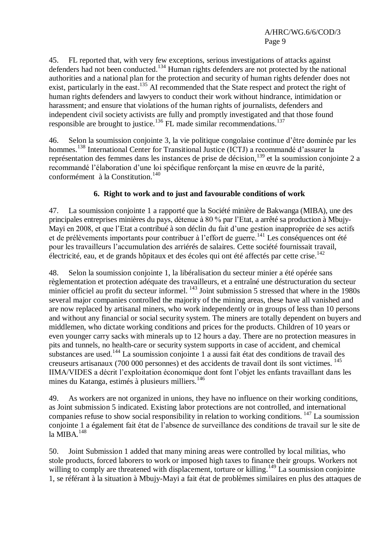45. FL reported that, with very few exceptions, serious investigations of attacks against defenders had not been conducted.<sup>134</sup> Human rights defenders are not protected by the national authorities and a national plan for the protection and security of human rights defender does not exist, particularly in the east.<sup>135</sup> AI recommended that the State respect and protect the right of human rights defenders and lawyers to conduct their work without hindrance, intimidation or harassment; and ensure that violations of the human rights of journalists, defenders and independent civil society activists are fully and promptly investigated and that those found responsible are brought to justice.<sup>136</sup> FL made similar recommendations.<sup>137</sup>

46. Selon la soumission conjointe 3, la vie politique congolaise continue d'être dominée par les hommes.<sup>138</sup> International Center for Transitional Justice (ICTJ) a recommandé d'assurer la représentation des femmes dans les instances de prise de décision, <sup>139</sup> et la soumission conjointe 2 a recommandé l'élaboration d'une loi spécifique renforçant la mise en œuvre de la parité, conformément à la Constitution. 140

## **6. Right to work and to just and favourable conditions of work**

47. La soumission conjointe 1 a rapporté que la Société minière de Bakwanga (MIBA), une des principales entreprises minières du pays, détenue à 80 % par l'Etat, a arrêté sa production à Mbujy-Mayi en 2008, et que l'Etat a contribué à son déclin du fait d'une gestion inappropriée de ses actifs et de prélèvements importants pour contribuer à l'effort de guerre.<sup>141</sup> Les conséquences ont été pour les travailleurs l'accumulation des arriérés de salaires. Cette société fournissait travail, électricité, eau, et de grands hôpitaux et des écoles qui ont été affectés par cette crise. 142

48. Selon la soumission conjointe 1, la libéralisation du secteur minier a été opérée sans règlementation et protection adéquate des travailleurs, et a entraîné une déstructuration du secteur minier officiel au profit du secteur informel.<sup>143</sup> Joint submission 5 stressed that where in the 1980s several major companies controlled the majority of the mining areas, these have all vanished and are now replaced by artisanal miners, who work independently or in groups of less than 10 persons and without any financial or social security system. The miners are totally dependent on buyers and middlemen, who dictate working conditions and prices for the products. Children of 10 years or even younger carry sacks with minerals up to 12 hours a day. There are no protection measures in pits and tunnels, no health-care or security system supports in case of accident, and chemical substances are used.<sup>144</sup> La soumission conjointe 1 a aussi fait état des conditions de travail des creuseurs artisanaux (700 000 personnes) et des accidents de travail dont ils sont victimes. <sup>145</sup> IIMA/VIDES a décrit l'exploitation économique dont font l'objet les enfants travaillant dans les mines du Katanga, estimés à plusieurs milliers.<sup>146</sup>

49. As workers are not organized in unions, they have no influence on their working conditions, as Joint submission 5 indicated. Existing labor protections are not controlled, and international companies refuse to show social responsibility in relation to working conditions.  $147$  La soumission conjointe 1 a également fait état de l'absence de surveillance des conditions de travail sur le site de la MIBA. 148

50. Joint Submission 1 added that many mining areas were controlled by local militias, who stole products, forced laborers to work or imposed high taxes to finance their groups. Workers not willing to comply are threatened with displacement, torture or killing.<sup>149</sup> La soumission conjointe 1, se référant à la situation à Mbujy-Mayi a fait état de problèmes similaires en plus des attaques de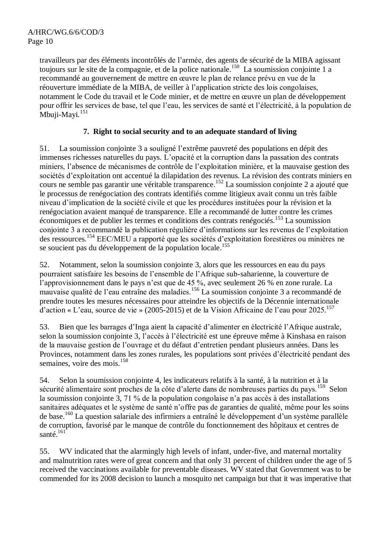travailleurs par des éléments incontrôlés de l'armée, des agents de sécurité de la MIBA agissant toujours sur le site de la compagnie, et de la police nationale. 150 La soumission conjointe 1 a recommandé au gouvernement de mettre en œuvre le plan de relance prévu en vue de la réouverture immédiate de la MIBA, de veiller à l'application stricte des lois congolaises, notamment le Code du travail et le Code minier, et de mettre en œuvre un plan de développement pour offrir les services de base, tel que l'eau, les services de santé et l'électricité, à la population de .<br>Mbuji-Mayi.<sup>151</sup>

# **7. Right to social security and to an adequate standard of living**

51. La soumission conjointe 3 a souligné l'extrême pauvreté des populations en dépit des immenses richesses naturelles du pays. L'opacité et la corruption dans la passation des contrats miniers, l'absence de mécanismes de contrôle de l'exploitation minière, et la mauvaise gestion des sociétés d'exploitation ont accentué la dilapidation des revenus. La révision des contrats miniers en cours ne semble pas garantir une véritable transparence. <sup>152</sup> La soumission conjointe 2 a ajouté que le processus de renégociation des contrats identifiés comme litigieux avait connu un très faible niveau d'implication de la société civile et que les procédures instituées pour la révision et la renégociation avaient manqué de transparence. Elle a recommandé de lutter contre les crimes économiques et de publier les termes et conditions des contrats renégociés.<sup>153</sup> La soumission conjointe 3 a recommandé la publication régulière d'informations sur les revenus de l'exploitation des ressources.<sup>154</sup> EEC/MEU a rapporté que les sociétés d'exploitation forestières ou minières ne se soucient pas du développement de la population locale.<sup>155</sup>

52. Notamment, selon la soumission conjointe 3, alors que les ressources en eau du pays pourraient satisfaire les besoins de l'ensemble de l'Afrique sub-saharienne, la couverture de l'approvisionnement dans le pays n'est que de 45 %, avec seulement 26 % en zone rurale. La mauvaise qualité de l'eau entraîne des maladies.<sup>156</sup> La soumission conjointe 3 a recommandé de prendre toutes les mesures nécessaires pour atteindre les objectifs de la Décennie internationale d'action « L'eau, source de vie » (2005-2015) et de la Vision Africaine de l'eau pour  $2025$ .<sup>157</sup>

53. Bien que les barrages d'Inga aient la capacité d'alimenter en électricité l'Afrique australe, selon la soumission conjointe 3, l'accès à l'électricité est une épreuve même à Kinshasa en raison de la mauvaise gestion de l'ouvrage et du défaut d'entretien pendant plusieurs années. Dans les Provinces, notamment dans les zones rurales, les populations sont privées d'électricité pendant des semaines, voire des mois.<sup>158</sup>

54. Selon la soumission conjointe 4, les indicateurs relatifs à la santé, à la nutrition et à la sécurité alimentaire sont proches de la côte d'alerte dans de nombreuses parties du pays.<sup>159</sup> Selon la soumission conjointe 3, 71 % de la population congolaise n'a pas accès à des installations sanitaires adéquates et le système de santé n'offre pas de garanties de qualité, même pour les soins de base. <sup>160</sup> La question salariale des infirmiers a entraîné le développement d'un système parallèle de corruption, favorisé par le manque de contrôle du fonctionnement des hôpitaux et centres de santé.<sup>161</sup>

55. WV indicated that the alarmingly high levels of infant, under-five, and maternal mortality and malnutrition rates were of great concern and that only 31 percent of children under the age of 5 received the vaccinations available for preventable diseases. WV stated that Government was to be commended for its 2008 decision to launch a mosquito net campaign but that it was imperative that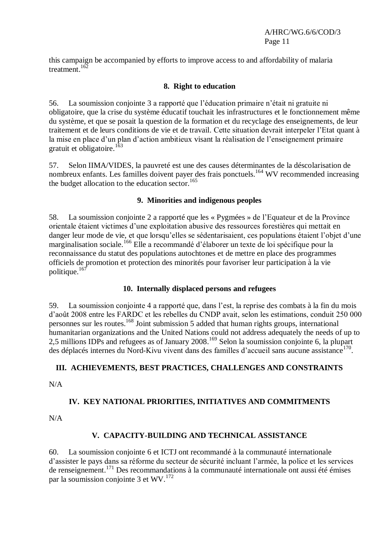this campaign be accompanied by efforts to improve access to and affordability of malaria treatment. 162

## **8. Right to education**

56. La soumission conjointe 3 a rapporté que l'éducation primaire n'était ni gratuite ni obligatoire, que la crise du système éducatif touchait les infrastructures et le fonctionnement même du système, et que se posait la question de la formation et du recyclage des enseignements, de leur traitement et de leurs conditions de vie et de travail. Cette situation devrait interpeler l'Etat quant à la mise en place d'un plan d'action ambitieux visant la réalisation de l'enseignement primaire gratuit et obligatoire.<sup>163</sup>

57. Selon IIMA/VIDES, la pauvreté est une des causes déterminantes de la déscolarisation de nombreux enfants. Les familles doivent payer des frais ponctuels.<sup>164</sup> WV recommended increasing the budget allocation to the education sector. $165$ 

#### **9. Minorities and indigenous peoples**

58. La soumission conjointe 2 a rapporté que les « Pygmées » de l'Equateur et de la Province orientale étaient victimes d'une exploitation abusive des ressources forestières qui mettait en danger leur mode de vie, et que lorsqu'elles se sédentarisaient, ces populations étaient l'objet d'une marginalisation sociale. <sup>166</sup> Elle a recommandé d'élaborer un texte de loi spécifique pour la reconnaissance du statut des populations autochtones et de mettre en place des programmes officiels de promotion et protection des minorités pour favoriser leur participation à la vie politique.<sup>167</sup>

#### **10. Internally displaced persons and refugees**

59. La soumission conjointe 4 a rapporté que, dans l'est, la reprise des combats à la fin du mois d'août 2008 entre les FARDC et les rebelles du CNDP avait, selon les estimations, conduit 250 000 personnes sur les routes.<sup>168</sup> Joint submission 5 added that human rights groups, international humanitarian organizations and the United Nations could not address adequately the needs of up to 2,5 millions IDPs and refugees as of January 2008. <sup>169</sup> Selon la soumission conjointe 6, la plupart des déplacés internes du Nord-Kivu vivent dans des familles d'accueil sans aucune assistance<sup>170</sup>.

# **III. ACHIEVEMENTS, BEST PRACTICES, CHALLENGES AND CONSTRAINTS**

N/A

# **IV. KEY NATIONAL PRIORITIES, INITIATIVES AND COMMITMENTS**

N/A

# **V. CAPACITY-BUILDING AND TECHNICAL ASSISTANCE**

60. La soumission conjointe 6 et ICTJ ont recommandé à la communauté internationale d'assister le pays dans sa réforme du secteur de sécurité incluant l'armée, la police et les services de renseignement. <sup>171</sup> Des recommandations à la communauté internationale ont aussi été émises par la soumission conjointe 3 et WV.<sup>172</sup>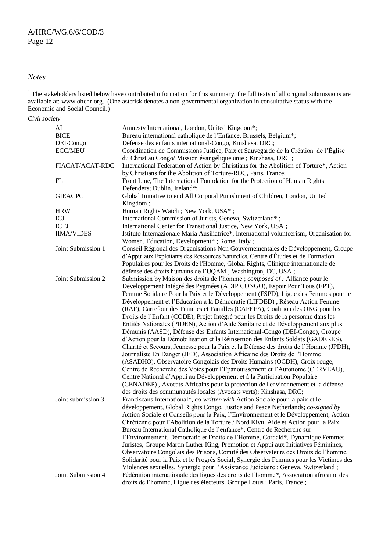#### *Notes*

 $1$  The stakeholders listed below have contributed information for this summary; the full texts of all original submissions are available at[: www.ohchr.org.](http://www.ohchr.org/) (One asterisk denotes a non-governmental organization in consultative status with the Economic and Social Council.)

*Civil society*

| AI                 | Amnesty International, London, United Kingdom*;                                           |
|--------------------|-------------------------------------------------------------------------------------------|
| <b>BICE</b>        | Bureau international catholique de l'Enfance, Brussels, Belgium*;                         |
| DEI-Congo          | Défense des enfants international-Congo, Kinshasa, DRC;                                   |
| <b>ECC/MEU</b>     | Coordination de Commissions Justice, Paix et Sauvegarde de la Création de l'Église        |
|                    | du Christ au Congo/ Mission évangélique unie ; Kinshasa, DRC ;                            |
| FIACAT/ACAT-RDC    | International Federation of Action by Christians for the Abolition of Torture*, Action    |
|                    | by Christians for the Abolition of Torture-RDC, Paris, France;                            |
| FL                 | Front Line, The International Foundation for the Protection of Human Rights               |
|                    | Defenders; Dublin, Ireland*;                                                              |
| <b>GIEACPC</b>     | Global Initiative to end All Corporal Punishment of Children, London, United              |
|                    | Kingdom;                                                                                  |
| <b>HRW</b>         | Human Rights Watch; New York, USA*;                                                       |
| ICJ                | International Commission of Jurists, Geneva, Switzerland*;                                |
| <b>ICTJ</b>        | International Center for Transitional Justice, New York, USA;                             |
| <b>IIMA/VIDES</b>  | Istituto Internazionale Maria Ausiliatrice*, International volunteerism, Organisation for |
|                    | Women, Education, Development*; Rome, Italy;                                              |
| Joint Submission 1 | Conseil Régional des Organisations Non Gouvernementales de Développement, Groupe          |
|                    | d'Appui aux Exploitants des Ressources Naturelles, Centre d'Études et de Formation        |
|                    | Populaires pour les Droits de l'Homme, Global Rights, Clinique internationale de          |
|                    | défense des droits humains de l'UQAM ; Washington, DC, USA ;                              |
| Joint Submission 2 | Submission by Maison des droits de l'homme; <i>composed of :</i> Alliance pour le         |
|                    | Développement Intégré des Pygmées (ADIP CONGO), Espoir Pour Tous (EPT),                   |
|                    | Femme Solidaire Pour la Paix et le Développement (FSPD), Ligue des Femmes pour le         |
|                    | Développement et l'Education à la Démocratie (LIFDED), Réseau Action Femme                |
|                    | (RAF), Carrefour des Femmes et Familles (CAFEFA), Coalition des ONG pour les              |
|                    |                                                                                           |
|                    | Droits de l'Enfant (CODE), Projet Intégré pour les Droits de la personne dans les         |
|                    | Entités Nationales (PIDEN), Action d'Aide Sanitaire et de Développement aux plus          |
|                    | Démunis (AASD), Défense des Enfants International-Congo (DEI-Congo), Groupe               |
|                    | d'Action pour la Démobilisation et la Réinsertion des Enfants Soldats (GADERES),          |
|                    | Charité et Secours, Jeunesse pour la Paix et la Défense des droits de l'Homme (JPDH),     |
|                    | Journaliste En Danger (JED), Association Africaine des Droits de l'Homme                  |
|                    | (ASADHO), Observatoire Congolais des Droits Humains (OCDH), Croix rouge,                  |
|                    | Centre de Recherche des Voies pour l'Epanouissement et l'Autonome (CERVEAU),              |
|                    | Centre National d'Appui au Développement et à la Participation Populaire                  |
|                    | (CENADEP), Avocats Africains pour la protection de l'environnement et la défense          |
|                    | des droits des communautés locales (Avocats verts); Kinshasa, DRC;                        |
| Joint submission 3 | Franciscans International*, co-written with Action Sociale pour la paix et le             |
|                    | développement, Global Rights Congo, Justice and Peace Netherlands; co-signed by           |
|                    | Action Sociale et Conseils pour la Paix, l'Environnement et le Développement, Action      |
|                    | Chrétienne pour l'Abolition de la Torture / Nord Kivu, Aide et Action pour la Paix,       |
|                    | Bureau International Catholique de l'enfance*, Centre de Recherche sur                    |
|                    | l'Environnement, Démocratie et Droits de l'Homme, Cordaid*, Dynamique Femmes              |
|                    | Juristes, Groupe Martin Luther King, Promotion et Appui aux Initiatives Féminines,        |
|                    | Observatoire Congolais des Prisons, Comité des Observateurs des Droits de l'homme,        |
|                    | Solidarité pour la Paix et le Progrès Social, Synergie des Femmes pour les Victimes des   |
|                    | Violences sexuelles, Synergie pour l'Assistance Judiciaire ; Geneva, Switzerland ;        |
| Joint Submission 4 | Fédération internationale des ligues des droits de l'homme*, Association africaine des    |
|                    | droits de l'homme, Ligue des électeurs, Groupe Lotus ; Paris, France ;                    |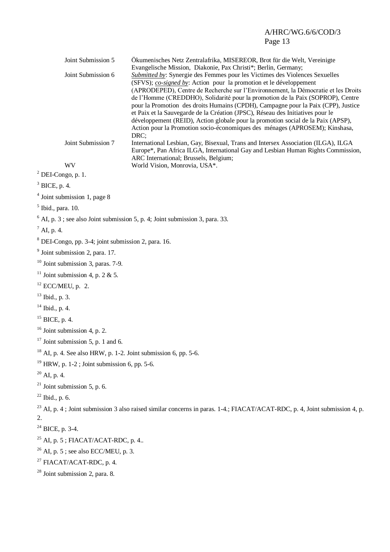# A/HRC/WG.6/6/COD/3 Page 13

| Joint Submission 5<br>Joint Submission 6                             | Ökumenisches Netz Zentralafrika, MISEREOR, Brot für die Welt, Vereinigte<br>Evangelische Mission, Diakonie, Pax Christi*; Berlin, Germany;<br>Submitted by: Synergie des Femmes pour les Victimes des Violences Sexuelles<br>(SFVS); co-signed by: Action pour la promotion et le développement<br>(APRODEPED), Centre de Recherche sur l'Environnement, la Démocratie et les Droits<br>de l'Homme (CREDDHO), Solidarité pour la promotion de la Paix (SOPROP), Centre<br>pour la Promotion des droits Humains (CPDH), Campagne pour la Paix (CPP), Justice<br>et Paix et la Sauvegarde de la Création (JPSC), Réseau des Initiatives pour le<br>développement (REID), Action globale pour la promotion social de la Paix (APSP),<br>Action pour la Promotion socio-économiques des ménages (APROSEM); Kinshasa,<br>DRC; |  |
|----------------------------------------------------------------------|--------------------------------------------------------------------------------------------------------------------------------------------------------------------------------------------------------------------------------------------------------------------------------------------------------------------------------------------------------------------------------------------------------------------------------------------------------------------------------------------------------------------------------------------------------------------------------------------------------------------------------------------------------------------------------------------------------------------------------------------------------------------------------------------------------------------------|--|
| Joint Submission 7                                                   | International Lesbian, Gay, Bisexual, Trans and Intersex Association (ILGA), ILGA<br>Europe*, Pan Africa ILGA, International Gay and Lesbian Human Rights Commission,<br>ARC International; Brussels, Belgium;                                                                                                                                                                                                                                                                                                                                                                                                                                                                                                                                                                                                           |  |
| WV                                                                   | World Vision, Monrovia, USA*.                                                                                                                                                                                                                                                                                                                                                                                                                                                                                                                                                                                                                                                                                                                                                                                            |  |
| $2$ DEI-Congo, p. 1.                                                 |                                                                                                                                                                                                                                                                                                                                                                                                                                                                                                                                                                                                                                                                                                                                                                                                                          |  |
| $3$ BICE, p. 4.                                                      |                                                                                                                                                                                                                                                                                                                                                                                                                                                                                                                                                                                                                                                                                                                                                                                                                          |  |
| $4$ Joint submission 1, page 8                                       |                                                                                                                                                                                                                                                                                                                                                                                                                                                                                                                                                                                                                                                                                                                                                                                                                          |  |
| $5$ Ibid., para. 10.                                                 |                                                                                                                                                                                                                                                                                                                                                                                                                                                                                                                                                                                                                                                                                                                                                                                                                          |  |
|                                                                      | $6$ AI, p. 3; see also Joint submission 5, p. 4; Joint submission 3, para. 33.                                                                                                                                                                                                                                                                                                                                                                                                                                                                                                                                                                                                                                                                                                                                           |  |
| $^7$ AI, p. 4.                                                       |                                                                                                                                                                                                                                                                                                                                                                                                                                                                                                                                                                                                                                                                                                                                                                                                                          |  |
| <sup>8</sup> DEI-Congo, pp. 3-4; joint submission 2, para. 16.       |                                                                                                                                                                                                                                                                                                                                                                                                                                                                                                                                                                                                                                                                                                                                                                                                                          |  |
| $9$ Joint submission 2, para. 17.                                    |                                                                                                                                                                                                                                                                                                                                                                                                                                                                                                                                                                                                                                                                                                                                                                                                                          |  |
| $10$ Joint submission 3, paras. 7-9.                                 |                                                                                                                                                                                                                                                                                                                                                                                                                                                                                                                                                                                                                                                                                                                                                                                                                          |  |
| <sup>11</sup> Joint submission 4, p. 2 & 5.                          |                                                                                                                                                                                                                                                                                                                                                                                                                                                                                                                                                                                                                                                                                                                                                                                                                          |  |
| $12$ ECC/MEU, p. 2.                                                  |                                                                                                                                                                                                                                                                                                                                                                                                                                                                                                                                                                                                                                                                                                                                                                                                                          |  |
| $13$ Ibid., p. 3.                                                    |                                                                                                                                                                                                                                                                                                                                                                                                                                                                                                                                                                                                                                                                                                                                                                                                                          |  |
| $14$ Ibid., p. 4.                                                    |                                                                                                                                                                                                                                                                                                                                                                                                                                                                                                                                                                                                                                                                                                                                                                                                                          |  |
| $15$ BICE, p. 4.                                                     |                                                                                                                                                                                                                                                                                                                                                                                                                                                                                                                                                                                                                                                                                                                                                                                                                          |  |
| $16$ Joint submission 4, p. 2.                                       |                                                                                                                                                                                                                                                                                                                                                                                                                                                                                                                                                                                                                                                                                                                                                                                                                          |  |
| $17$ Joint submission 5, p. 1 and 6.                                 |                                                                                                                                                                                                                                                                                                                                                                                                                                                                                                                                                                                                                                                                                                                                                                                                                          |  |
| $^{18}$ AI, p. 4. See also HRW, p. 1-2. Joint submission 6, pp. 5-6. |                                                                                                                                                                                                                                                                                                                                                                                                                                                                                                                                                                                                                                                                                                                                                                                                                          |  |
| $19$ HRW, p. 1-2; Joint submission 6, pp. 5-6.                       |                                                                                                                                                                                                                                                                                                                                                                                                                                                                                                                                                                                                                                                                                                                                                                                                                          |  |
| $20$ AI, p. 4.                                                       |                                                                                                                                                                                                                                                                                                                                                                                                                                                                                                                                                                                                                                                                                                                                                                                                                          |  |
| $^{21}$ Joint submission 5, p. 6.                                    |                                                                                                                                                                                                                                                                                                                                                                                                                                                                                                                                                                                                                                                                                                                                                                                                                          |  |
| $22$ Ibid., p. 6.                                                    |                                                                                                                                                                                                                                                                                                                                                                                                                                                                                                                                                                                                                                                                                                                                                                                                                          |  |
| 2.                                                                   | <sup>23</sup> AI, p. 4; Joint submission 3 also raised similar concerns in paras. 1-4.; FIACAT/ACAT-RDC, p. 4, Joint submission 4, p.                                                                                                                                                                                                                                                                                                                                                                                                                                                                                                                                                                                                                                                                                    |  |
| $24$ BICE, p. 3-4.                                                   |                                                                                                                                                                                                                                                                                                                                                                                                                                                                                                                                                                                                                                                                                                                                                                                                                          |  |
| $25$ AI, p. 5; FIACAT/ACAT-RDC, p. 4                                 |                                                                                                                                                                                                                                                                                                                                                                                                                                                                                                                                                                                                                                                                                                                                                                                                                          |  |
| $26$ AI, p. 5; see also ECC/MEU, p. 3.                               |                                                                                                                                                                                                                                                                                                                                                                                                                                                                                                                                                                                                                                                                                                                                                                                                                          |  |
| <sup>27</sup> FIACAT/ACAT-RDC, p. 4.                                 |                                                                                                                                                                                                                                                                                                                                                                                                                                                                                                                                                                                                                                                                                                                                                                                                                          |  |
| $28$ Joint submission 2, para. 8.                                    |                                                                                                                                                                                                                                                                                                                                                                                                                                                                                                                                                                                                                                                                                                                                                                                                                          |  |
|                                                                      |                                                                                                                                                                                                                                                                                                                                                                                                                                                                                                                                                                                                                                                                                                                                                                                                                          |  |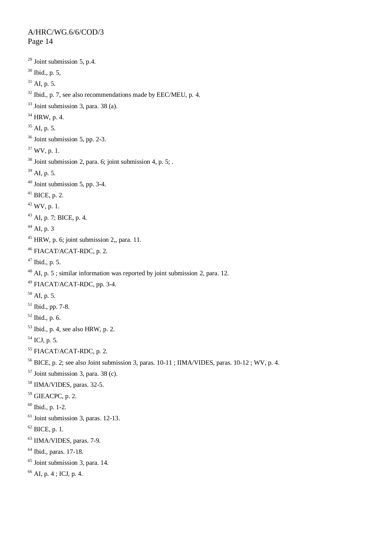#### A/HRC/WG.6/6/COD/3 Page 14

```
29 Joint submission 5, p.4.
30 Ibid., p. 5,
31 AI, p. 5.
32 Ibid., p. 7, see also recommendations made by EEC/MEU, p. 4.
33 Joint submission 3, para. 38 (a).
34 HRW, p. 4.
35 AI, p. 5.
36 Joint submission 5, pp. 2-3.
37 WV, p. 1.
38 Joint submission 2, para. 6; joint submission 4, p. 5; .
39 AI, p. 5.
40 Joint submission 5, pp. 3-4.
41 BICE, p. 2.
42 WV, p. 1.
43 AI, p. 7; BICE, p. 4.
^{44} AI, p. 3
45 HRW, p. 6; joint submission 2, para. 11.
<sup>46</sup> FIACAT/ACAT-RDC, p. 2.
47 Ibid., p. 5.
48 AI, p. 5; similar information was reported by joint submission 2, para. 12.
49 FIACAT/ACAT-RDC, pp. 3-4.
50 AI, p. 5.
51 Ibid., pp. 7-8.
52 Ibid., p. 6.
53 Ibid., p. 4, see also HRW, p. 2.
54 ICJ, p. 5.
55 FIACAT/ACAT-RDC, p. 2.
<sup>56</sup> BICE, p. 2; see also Joint submission 3, paras. 10-11; IIMA/VIDES, paras. 10-12; WV, p. 4.
57 Joint submission 3, para. 38 (c).
58 IIMA/VIDES, paras. 32-5.
59 GIEACPC, p. 2.
60 Ibid., p. 1-2.
61 Joint submission 3, paras. 12-13.
62 BICE, p. 1.
63 IIMA/VIDES, paras. 7-9.
64 Ibid., paras. 17-18.
<sup>65</sup> Joint submission 3, para. 14.</sup>
66 AI, p. 4; ICJ, p. 4.
```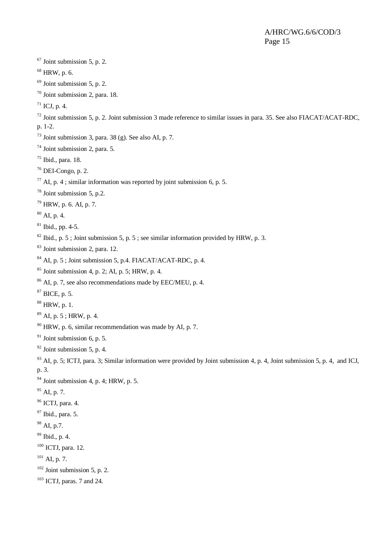#### A/HRC/WG.6/6/COD/3 Page 15

 Joint submission 5, p. 2. HRW, p. 6. Joint submission 5, p. 2. Joint submission 2, para. 18. ICJ, p. 4.  $^{72}$  Joint submission 5, p. 2. Joint submission 3 made reference to similar issues in para. 35. See also FIACAT/ACAT-RDC, p. 1-2. Joint submission 3, para. 38 (g). See also AI, p. 7. Joint submission 2, para. 5. Ibid., para. 18. DEI-Congo, p. 2. <sup>77</sup> AI, p. 4; similar information was reported by joint submission 6, p. 5. Joint submission 5, p.2. HRW, p. 6. AI, p. 7. AI, p. 4. Ibid., pp. 4-5. Ibid., p. 5 ; Joint submission 5, p. 5 ; see similar information provided by HRW, p. 3. Joint submission 2, para. 12. AI, p. 5; Joint submission 5, p.4. FIACAT/ACAT-RDC, p. 4. Joint submission 4, p. 2; AI, p. 5; HRW, p. 4. <sup>86</sup> AI, p. 7, see also recommendations made by EEC/MEU, p. 4. BICE, p. 5. HRW, p. 1. AI, p. 5; HRW, p. 4. HRW, p. 6, similar recommendation was made by AI, p. 7. Joint submission 6, p. 5. Joint submission 5, p. 4. AI, p. 5; ICTJ, para. 3; Similar information were provided by Joint submission 4, p. 4, Joint submission 5, p. 4, and ICJ. p. 3. Joint submission 4, p. 4; HRW, p. 5. AI, p. 7. ICTJ, para. 4. Ibid., para. 5. AI, p.7. Ibid., p. 4. ICTJ, para. 12. AI, p. 7. Joint submission 5, p. 2. ICTJ, paras. 7 and 24.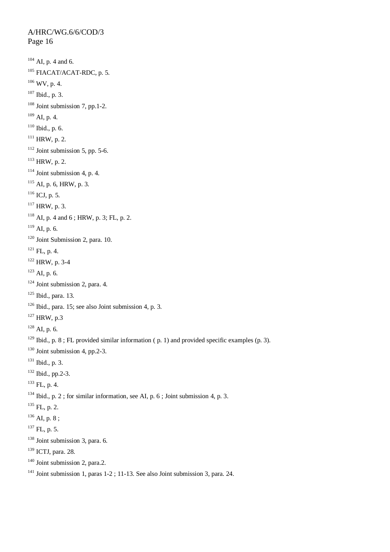A/HRC/WG.6/6/COD/3 Page 16 AI, p. 4 and 6. FIACAT/ACAT-RDC, p. 5. WV, p. 4. Ibid., p. 3. Joint submission 7, pp.1-2. AI, p. 4. Ibid., p. 6. HRW, p. 2. Joint submission 5, pp. 5-6. HRW, p. 2. Joint submission 4, p. 4. AI, p. 6, HRW, p. 3. ICJ, p. 5. HRW, p. 3. AI, p. 4 and 6; HRW, p. 3; FL, p. 2. AL, p. 6. Joint Submission 2, para. 10. FL, p. 4. HRW, p. 3-4 AI, p. 6. Joint submission 2, para. 4. Ibid., para. 13. Ibid., para. 15; see also Joint submission 4, p. 3. HRW, p.3 AI, p. 6. <sup>129</sup> Ibid., p. 8; FL provided similar information (p. 1) and provided specific examples (p. 3). <sup>130</sup> Joint submission 4, pp.2-3. Ibid., p. 3. Ibid., pp.2-3.  $^{133}$  FL, p. 4. Ibid., p. 2; for similar information, see AI, p. 6; Joint submission 4, p. 3.  $^{135}$  FL, p. 2.  $^{136}$  AI, p. 8;  $^{137}$  FL, p. 5. Joint submission 3, para. 6. <sup>139</sup> ICTJ, para. 28. Joint submission 2, para.2.

<sup>141</sup> Joint submission 1, paras  $1-2$ ; 11-13. See also Joint submission 3, para. 24.